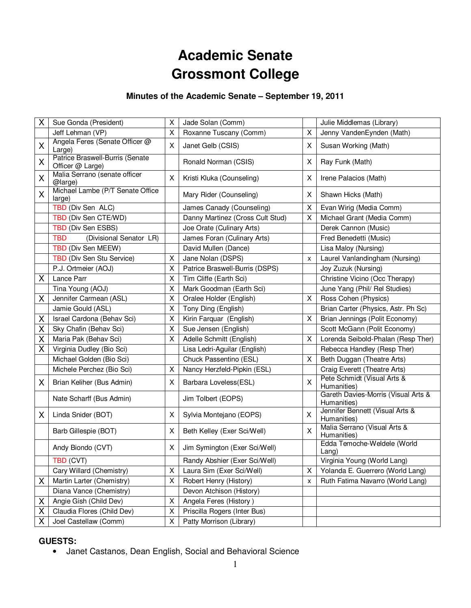# **Academic Senate Grossmont College**

# **Minutes of the Academic Senate – September 19, 2011**

| Χ | Sue Gonda (President)                               | Χ | Jade Solan (Comm)                |              | Julie Middlemas (Library)                          |
|---|-----------------------------------------------------|---|----------------------------------|--------------|----------------------------------------------------|
|   | Jeff Lehman (VP)                                    | X | Roxanne Tuscany (Comm)           | X            | Jenny VandenEynden (Math)                          |
| X | Angela Feres (Senate Officer @<br>Large)            | X | Janet Gelb (CSIS)                | X            | Susan Working (Math)                               |
| Χ | Patrice Braswell-Burris (Senate<br>Officer @ Large) |   | Ronald Norman (CSIS)             | Х            | Ray Funk (Math)                                    |
| X | Malia Serrano (senate officer<br>@large)            | X | Kristi Kluka (Counseling)        | X            | Irene Palacios (Math)                              |
| Χ | Michael Lambe (P/T Senate Office<br>large)          |   | Mary Rider (Counseling)          | Χ            | Shawn Hicks (Math)                                 |
|   | TBD (Div Sen ALC)                                   |   | James Canady (Counseling)        | Χ            | Evan Wirig (Media Comm)                            |
|   | TBD (Div Sen CTE/WD)                                |   | Danny Martinez (Cross Cult Stud) | X            | Michael Grant (Media Comm)                         |
|   | TBD (Div Sen ESBS)                                  |   | Joe Orate (Culinary Arts)        |              | Derek Cannon (Music)                               |
|   | <b>TBD</b><br>(Divisional Senator LR)               |   | James Foran (Culinary Arts)      |              | Fred Benedetti (Music)                             |
|   | TBD (Div Sen MEEW)                                  |   | David Mullen (Dance)             |              | Lisa Maloy (Nursing)                               |
|   | TBD (Div Sen Stu Service)                           | X | Jane Nolan (DSPS)                | x            | Laurel Vanlandingham (Nursing)                     |
|   | P.J. Ortmeier (AOJ)                                 | X | Patrice Braswell-Burris (DSPS)   |              | Joy Zuzuk (Nursing)                                |
| Χ | Lance Parr                                          | X | Tim Cliffe (Earth Sci)           |              | Christine Vicino (Occ Therapy)                     |
|   | Tina Young (AOJ)                                    | X | Mark Goodman (Earth Sci)         |              | June Yang (Phil/ Rel Studies)                      |
| X | Jennifer Carmean (ASL)                              | X | Oralee Holder (English)          | Χ            | Ross Cohen (Physics)                               |
|   | Jamie Gould (ASL)                                   | X | Tony Ding (English)              |              | Brian Carter (Physics, Astr. Ph Sc)                |
| Χ | Israel Cardona (Behav Sci)                          | Χ | Kirin Farquar (English)          | X            | Brian Jennings (Polit Economy)                     |
| Χ | Sky Chafin (Behav Sci)                              | X | Sue Jensen (English)             |              | Scott McGann (Polit Economy)                       |
| Χ | Maria Pak (Behav Sci)                               | X | Adelle Schmitt (English)         | X            | Lorenda Seibold-Phalan (Resp Ther)                 |
| X | Virginia Dudley (Bio Sci)                           |   | Lisa Ledri-Aguilar (English)     |              | Rebecca Handley (Resp Ther)                        |
|   | Michael Golden (Bio Sci)                            |   | Chuck Passentino (ESL)           | X            | Beth Duggan (Theatre Arts)                         |
|   | Michele Perchez (Bio Sci)                           | X | Nancy Herzfeld-Pipkin (ESL)      |              | Craig Everett (Theatre Arts)                       |
| X | Brian Keliher (Bus Admin)                           | X | Barbara Loveless(ESL)            | $\mathsf{X}$ | Pete Schmidt (Visual Arts &<br>Humanities)         |
|   | Nate Scharff (Bus Admin)                            |   | Jim Tolbert (EOPS)               |              | Gareth Davies-Morris (Visual Arts &<br>Humanities) |
| X | Linda Snider (BOT)                                  | X | Sylvia Montejano (EOPS)          | X            | Jennifer Bennett (Visual Arts &<br>Humanities)     |
|   | Barb Gillespie (BOT)                                | X | Beth Kelley (Exer Sci/Well)      | X            | Malia Serrano (Visual Arts &<br>Humanities)        |
|   | Andy Biondo (CVT)                                   | X | Jim Symington (Exer Sci/Well)    |              | Edda Temoche-Weldele (World<br>Lang)               |
|   | TBD (CVT)                                           |   | Randy Abshier (Exer Sci/Well)    |              | Virginia Young (World Lang)                        |
|   | Cary Willard (Chemistry)                            | X | Laura Sim (Exer Sci/Well)        | X            | Yolanda E. Guerrero (World Lang)                   |
| X | Martin Larter (Chemistry)                           | X | Robert Henry (History)           | x            | Ruth Fatima Navarro (World Lang)                   |
|   | Diana Vance (Chemistry)                             |   | Devon Atchison (History)         |              |                                                    |
| X | Angie Gish (Child Dev)                              | X | Angela Feres (History)           |              |                                                    |
| Χ | Claudia Flores (Child Dev)                          | X | Priscilla Rogers (Inter Bus)     |              |                                                    |
| Χ | Joel Castellaw (Comm)                               | X | Patty Morrison (Library)         |              |                                                    |

# **GUESTS:**

• Janet Castanos, Dean English, Social and Behavioral Science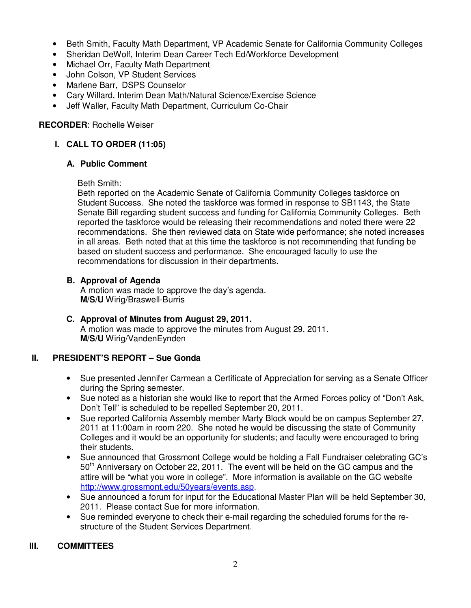- Beth Smith, Faculty Math Department, VP Academic Senate for California Community Colleges
- Sheridan DeWolf, Interim Dean Career Tech Ed/Workforce Development
- Michael Orr, Faculty Math Department
- John Colson, VP Student Services
- Marlene Barr, DSPS Counselor
- Cary Willard, Interim Dean Math/Natural Science/Exercise Science
- Jeff Waller, Faculty Math Department, Curriculum Co-Chair

## **RECORDER**: Rochelle Weiser

# **I. CALL TO ORDER (11:05)**

### **A. Public Comment**

#### Beth Smith:

Beth reported on the Academic Senate of California Community Colleges taskforce on Student Success. She noted the taskforce was formed in response to SB1143, the State Senate Bill regarding student success and funding for California Community Colleges. Beth reported the taskforce would be releasing their recommendations and noted there were 22 recommendations. She then reviewed data on State wide performance; she noted increases in all areas. Beth noted that at this time the taskforce is not recommending that funding be based on student success and performance. She encouraged faculty to use the recommendations for discussion in their departments.

## **B. Approval of Agenda**

A motion was made to approve the day's agenda. **M/S/U** Wirig/Braswell-Burris

#### **C. Approval of Minutes from August 29, 2011.**  A motion was made to approve the minutes from August 29, 2011. **M/S/U** Wirig/VandenEynden

# **II. PRESIDENT'S REPORT – Sue Gonda**

- Sue presented Jennifer Carmean a Certificate of Appreciation for serving as a Senate Officer during the Spring semester.
- Sue noted as a historian she would like to report that the Armed Forces policy of "Don't Ask, Don't Tell" is scheduled to be repelled September 20, 2011.
- Sue reported California Assembly member Marty Block would be on campus September 27, 2011 at 11:00am in room 220. She noted he would be discussing the state of Community Colleges and it would be an opportunity for students; and faculty were encouraged to bring their students.
- Sue announced that Grossmont College would be holding a Fall Fundraiser celebrating GC's  $50<sup>th</sup>$  Anniversary on October 22, 2011. The event will be held on the GC campus and the attire will be "what you wore in college". More information is available on the GC website http://www.grossmont.edu/50years/events.asp.
- Sue announced a forum for input for the Educational Master Plan will be held September 30, 2011. Please contact Sue for more information.
- Sue reminded everyone to check their e-mail regarding the scheduled forums for the restructure of the Student Services Department.

### **III. COMMITTEES**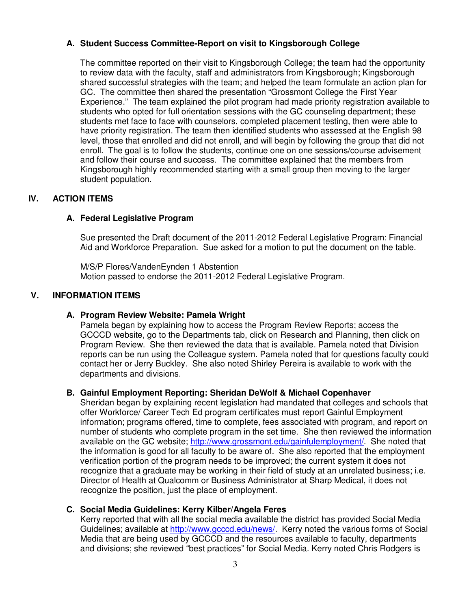## **A. Student Success Committee-Report on visit to Kingsborough College**

The committee reported on their visit to Kingsborough College; the team had the opportunity to review data with the faculty, staff and administrators from Kingsborough; Kingsborough shared successful strategies with the team; and helped the team formulate an action plan for GC. The committee then shared the presentation "Grossmont College the First Year Experience." The team explained the pilot program had made priority registration available to students who opted for full orientation sessions with the GC counseling department; these students met face to face with counselors, completed placement testing, then were able to have priority registration. The team then identified students who assessed at the English 98 level, those that enrolled and did not enroll, and will begin by following the group that did not enroll. The goal is to follow the students, continue one on one sessions/course advisement and follow their course and success. The committee explained that the members from Kingsborough highly recommended starting with a small group then moving to the larger student population.

## **IV. ACTION ITEMS**

### **A. Federal Legislative Program**

Sue presented the Draft document of the 2011-2012 Federal Legislative Program: Financial Aid and Workforce Preparation. Sue asked for a motion to put the document on the table.

M/S/P Flores/VandenEynden 1 Abstention Motion passed to endorse the 2011-2012 Federal Legislative Program.

### **V. INFORMATION ITEMS**

### **A. Program Review Website: Pamela Wright**

Pamela began by explaining how to access the Program Review Reports; access the GCCCD website, go to the Departments tab, click on Research and Planning, then click on Program Review. She then reviewed the data that is available. Pamela noted that Division reports can be run using the Colleague system. Pamela noted that for questions faculty could contact her or Jerry Buckley. She also noted Shirley Pereira is available to work with the departments and divisions.

### **B. Gainful Employment Reporting: Sheridan DeWolf & Michael Copenhaver**

Sheridan began by explaining recent legislation had mandated that colleges and schools that offer Workforce/ Career Tech Ed program certificates must report Gainful Employment information; programs offered, time to complete, fees associated with program, and report on number of students who complete program in the set time. She then reviewed the information available on the GC website; http://www.grossmont.edu/gainfulemployment/. She noted that the information is good for all faculty to be aware of. She also reported that the employment verification portion of the program needs to be improved; the current system it does not recognize that a graduate may be working in their field of study at an unrelated business; i.e. Director of Health at Qualcomm or Business Administrator at Sharp Medical, it does not recognize the position, just the place of employment.

### **C. Social Media Guidelines: Kerry Kilber/Angela Feres**

Kerry reported that with all the social media available the district has provided Social Media Guidelines; available at http://www.gcccd.edu/news/. Kerry noted the various forms of Social Media that are being used by GCCCD and the resources available to faculty, departments and divisions; she reviewed "best practices" for Social Media. Kerry noted Chris Rodgers is